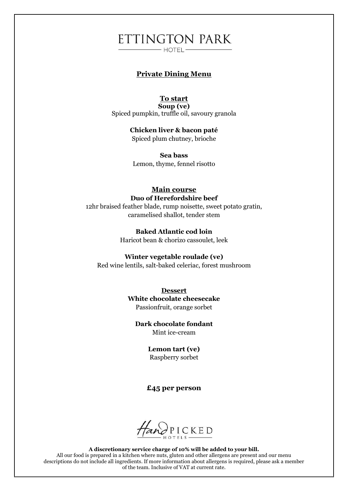## ETTINGTON PARK  $-$  HOTEL  $-$

## **Private Dining Menu**

### **To start**

**Soup (ve)** Spiced pumpkin, truffle oil, savoury granola

> **Chicken liver & bacon paté** Spiced plum chutney, brioche

**Sea bass** Lemon, thyme, fennel risotto

### **Main course Duo of Herefordshire beef**

12hr braised feather blade, rump noisette, sweet potato gratin, caramelised shallot, tender stem

> **Baked Atlantic cod loin** Haricot bean & chorizo cassoulet, leek

#### **Winter vegetable roulade (ve)**

Red wine lentils, salt-baked celeriac, forest mushroom

**Dessert White chocolate cheesecake** Passionfruit, orange sorbet

**Dark chocolate fondant** Mint ice-cream

> **Lemon tart (ve)** Raspberry sorbet

### **£45 per person**

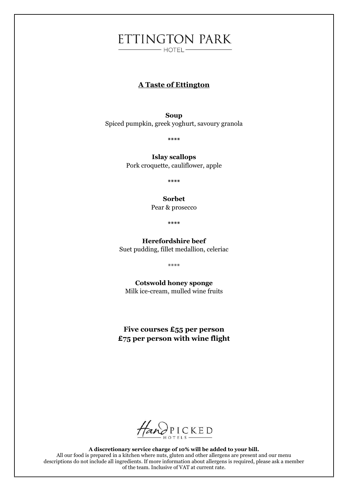# ETTINGTON PARK  $\overline{\phantom{0}}$  HOTEL  $\overline{\phantom{0}}$

## **A Taste of Ettington**

**Soup**  Spiced pumpkin, greek yoghurt, savoury granola

**\*\*\*\***

**Islay scallops** Pork croquette, cauliflower, apple

**\*\*\*\***

#### **Sorbet**

Pear & prosecco

**\*\*\*\***

## **Herefordshire beef** Suet pudding, fillet medallion, celeriac

\*\*\*\*

**Cotswold honey sponge** Milk ice-cream, mulled wine fruits

**Five courses £55 per person £75 per person with wine flight**

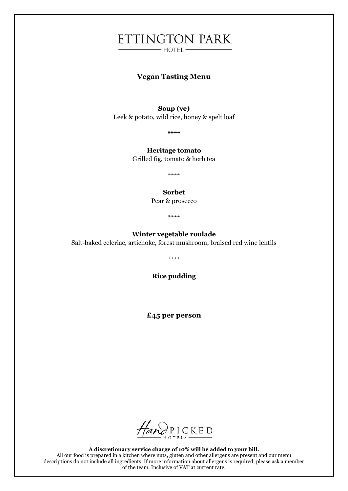# ETTINGTON PARK  $-$  HOTEL $-$

## **Vegan Tasting Menu**

#### **Soup (ve)**

Leek & potato, wild rice, honey & spelt loaf

**\*\*\*\***

**Heritage tomato** Grilled fig, tomato & herb tea

\*\*\*\*

#### **Sorbet**

Pear & prosecco

**\*\*\*\***

#### **Winter vegetable roulade**

Salt-baked celeriac, artichoke, forest mushroom, braised red wine lentils

\*\*\*\*

**Rice pudding**

**£45 per person**